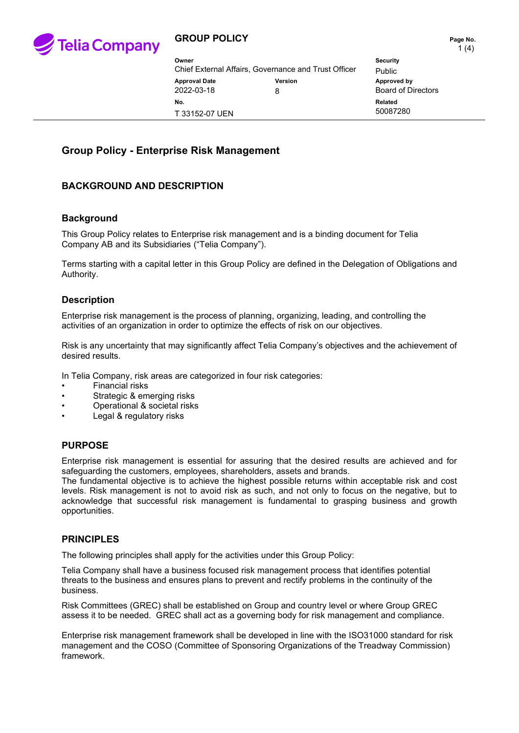

## **GROUP POLICY PAGE 10 AND THE PAGE NO.** Page No.

| Owner                                                |         | <b>Security</b>           |
|------------------------------------------------------|---------|---------------------------|
| Chief External Affairs, Governance and Trust Officer |         | <b>Public</b>             |
| <b>Approval Date</b>                                 | Version | Approved by               |
| 2022-03-18                                           | 8       | <b>Board of Directors</b> |
| No.<br>T 33152-07 UEN                                |         | Related<br>50087280       |

# **Group Policy - Enterprise Risk Management**

# **BACKGROUND AND DESCRIPTION**

### **Background**

This Group Policy relates to Enterprise risk management and is a binding document for Telia Company AB and its Subsidiaries ("Telia Company").

Terms starting with a capital letter in this Group Policy are defined in the Delegation of Obligations and Authority.

### **Description**

Enterprise risk management is the process of planning, organizing, leading, and controlling the activities of an organization in order to optimize the effects of risk on our objectives.

Risk is any uncertainty that may significantly affect Telia Company's objectives and the achievement of desired results.

In Telia Company, risk areas are categorized in four risk categories:

- Financial risks
- Strategic & emerging risks
- Operational & societal risks
- Legal & regulatory risks

#### **PURPOSE**

Enterprise risk management is essential for assuring that the desired results are achieved and for safeguarding the customers, employees, shareholders, assets and brands.

The fundamental objective is to achieve the highest possible returns within acceptable risk and cost levels. Risk management is not to avoid risk as such, and not only to focus on the negative, but to acknowledge that successful risk management is fundamental to grasping business and growth opportunities.

#### **PRINCIPLES**

The following principles shall apply for the activities under this Group Policy:

Telia Company shall have a business focused risk management process that identifies potential threats to the business and ensures plans to prevent and rectify problems in the continuity of the business.

Risk Committees (GREC) shall be established on Group and country level or where Group GREC assess it to be needed. GREC shall act as a governing body for risk management and compliance.

Enterprise risk management framework shall be developed in line with the ISO31000 standard for risk management and the COSO (Committee of Sponsoring Organizations of the Treadway Commission) framework.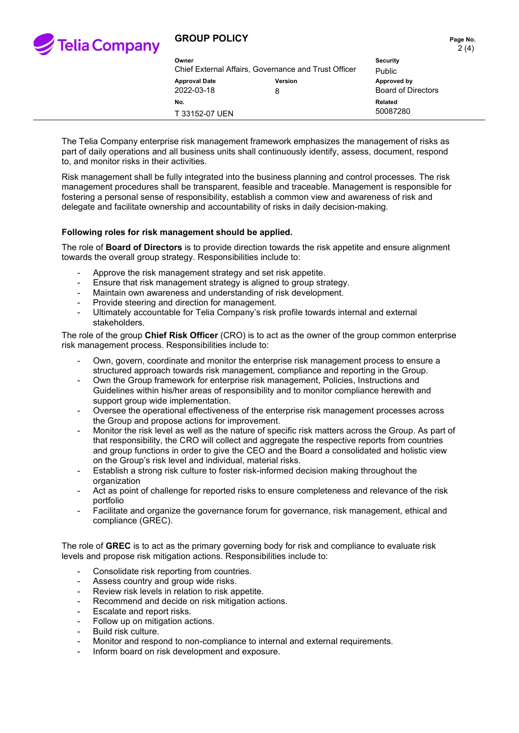

## **GROUP POLICY PAGE 10. Page No. Page No.**

| Owner                                                |         | <b>Security</b>           |
|------------------------------------------------------|---------|---------------------------|
| Chief External Affairs, Governance and Trust Officer |         | <b>Public</b>             |
| <b>Approval Date</b>                                 | Version | Approved by               |
| 2022-03-18                                           | 8       | <b>Board of Directors</b> |
| No.<br>T 33152-07 UEN                                |         | Related<br>50087280       |

The Telia Company enterprise risk management framework emphasizes the management of risks as part of daily operations and all business units shall continuously identify, assess, document, respond to, and monitor risks in their activities.

Risk management shall be fully integrated into the business planning and control processes. The risk management procedures shall be transparent, feasible and traceable. Management is responsible for fostering a personal sense of responsibility, establish a common view and awareness of risk and delegate and facilitate ownership and accountability of risks in daily decision-making.

#### **Following roles for risk management should be applied.**

The role of **Board of Directors** is to provide direction towards the risk appetite and ensure alignment towards the overall group strategy. Responsibilities include to:

- Approve the risk management strategy and set risk appetite.
- Ensure that risk management strategy is aligned to group strategy.
- Maintain own awareness and understanding of risk development.
- Provide steering and direction for management.
- Ultimately accountable for Telia Company's risk profile towards internal and external stakeholders.

The role of the group **Chief Risk Officer** (CRO) is to act as the owner of the group common enterprise risk management process. Responsibilities include to:

- Own, govern, coordinate and monitor the enterprise risk management process to ensure a structured approach towards risk management, compliance and reporting in the Group.
- Own the Group framework for enterprise risk management, Policies, Instructions and Guidelines within his/her areas of responsibility and to monitor compliance herewith and support group wide implementation.
- Oversee the operational effectiveness of the enterprise risk management processes across the Group and propose actions for improvement.
- Monitor the risk level as well as the nature of specific risk matters across the Group. As part of that responsibility, the CRO will collect and aggregate the respective reports from countries and group functions in order to give the CEO and the Board a consolidated and holistic view on the Group's risk level and individual, material risks.
- Establish a strong risk culture to foster risk-informed decision making throughout the organization
- Act as point of challenge for reported risks to ensure completeness and relevance of the risk portfolio
- Facilitate and organize the governance forum for governance, risk management, ethical and compliance (GREC).

The role of **GREC** is to act as the primary governing body for risk and compliance to evaluate risk levels and propose risk mitigation actions. Responsibilities include to:

- Consolidate risk reporting from countries.
- Assess country and group wide risks.
- Review risk levels in relation to risk appetite.
- Recommend and decide on risk mitigation actions.
- Escalate and report risks.
- Follow up on mitigation actions.
- Build risk culture.
- Monitor and respond to non-compliance to internal and external requirements.
- Inform board on risk development and exposure.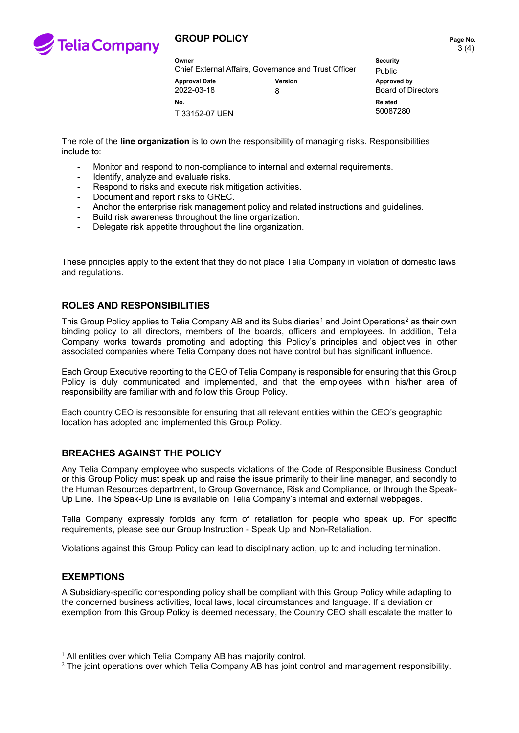

## **GROUP POLICY PAGE 10.1 Page No.**

| Owner                                                |         | <b>Security</b>           |
|------------------------------------------------------|---------|---------------------------|
| Chief External Affairs, Governance and Trust Officer |         | Public                    |
| <b>Approval Date</b>                                 | Version | Approved by               |
| 2022-03-18                                           | 8       | <b>Board of Directors</b> |
| No.<br>T 33152-07 UEN                                |         | Related<br>50087280       |

The role of the **line organization** is to own the responsibility of managing risks. Responsibilities include to:

- Monitor and respond to non-compliance to internal and external requirements.
- Identify, analyze and evaluate risks.
- Respond to risks and execute risk mitigation activities.
- Document and report risks to GREC.
- Anchor the enterprise risk management policy and related instructions and guidelines.
- Build risk awareness throughout the line organization.
- Delegate risk appetite throughout the line organization.

These principles apply to the extent that they do not place Telia Company in violation of domestic laws and regulations.

## **ROLES AND RESPONSIBILITIES**

This Group Policy applies to Telia Company AB and its Subsidiaries<sup>[1](#page-2-0)</sup> and Joint Operations<sup>[2](#page-2-1)</sup> as their own binding policy to all directors, members of the boards, officers and employees. In addition, Telia Company works towards promoting and adopting this Policy's principles and objectives in other associated companies where Telia Company does not have control but has significant influence.

Each Group Executive reporting to the CEO of Telia Company is responsible for ensuring that this Group Policy is duly communicated and implemented, and that the employees within his/her area of responsibility are familiar with and follow this Group Policy.

Each country CEO is responsible for ensuring that all relevant entities within the CEO's geographic location has adopted and implemented this Group Policy.

## **BREACHES AGAINST THE POLICY**

Any Telia Company employee who suspects violations of the Code of Responsible Business Conduct or this Group Policy must speak up and raise the issue primarily to their line manager, and secondly to the Human Resources department, to Group Governance, Risk and Compliance, or through the Speak-Up Line. The Speak-Up Line is available on Telia Company's internal and external webpages.

Telia Company expressly forbids any form of retaliation for people who speak up. For specific requirements, please see our Group Instruction - Speak Up and Non-Retaliation.

Violations against this Group Policy can lead to disciplinary action, up to and including termination.

#### **EXEMPTIONS**

A Subsidiary-specific corresponding policy shall be compliant with this Group Policy while adapting to the concerned business activities, local laws, local circumstances and language. If a deviation or exemption from this Group Policy is deemed necessary, the Country CEO shall escalate the matter to

<span id="page-2-0"></span> $1$  All entities over which Telia Company AB has majority control.

<span id="page-2-1"></span><sup>&</sup>lt;sup>2</sup> The joint operations over which Telia Company AB has joint control and management responsibility.